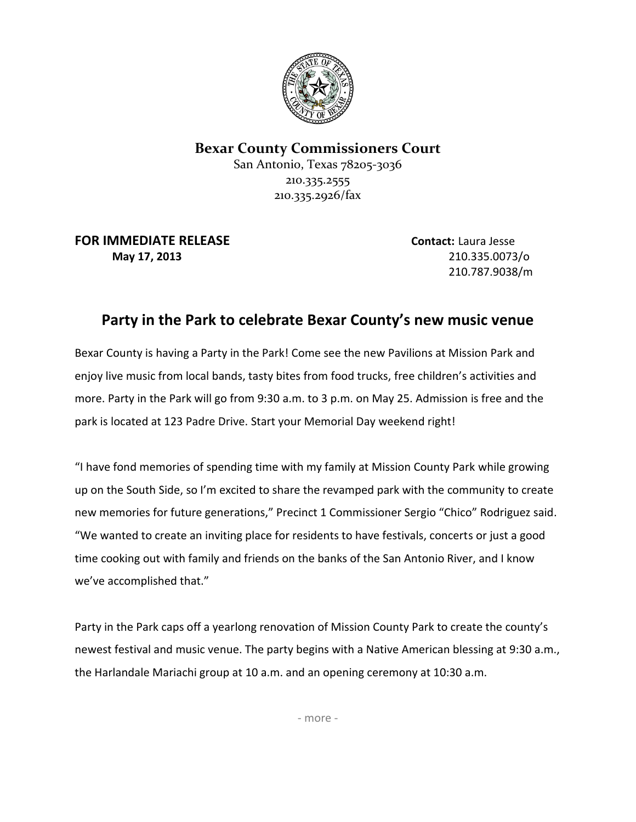

## **Bexar County Commissioners Court**

San Antonio, Texas 78205-3036 210.335.2555 210.335.2926/fax

**FOR IMMEDIATE RELEASE Contact:** Laura Jesse **May 17, 2013** 210.335.0073/o

210.787.9038/m

## **Party in the Park to celebrate Bexar County's new music venue**

Bexar County is having a Party in the Park! Come see the new Pavilions at Mission Park and enjoy live music from local bands, tasty bites from food trucks, free children's activities and more. Party in the Park will go from 9:30 a.m. to 3 p.m. on May 25. Admission is free and the park is located at 123 Padre Drive. Start your Memorial Day weekend right!

"I have fond memories of spending time with my family at Mission County Park while growing up on the South Side, so I'm excited to share the revamped park with the community to create new memories for future generations," Precinct 1 Commissioner Sergio "Chico" Rodriguez said. "We wanted to create an inviting place for residents to have festivals, concerts or just a good time cooking out with family and friends on the banks of the San Antonio River, and I know we've accomplished that."

Party in the Park caps off a yearlong renovation of Mission County Park to create the county's newest festival and music venue. The party begins with a Native American blessing at 9:30 a.m., the Harlandale Mariachi group at 10 a.m. and an opening ceremony at 10:30 a.m.